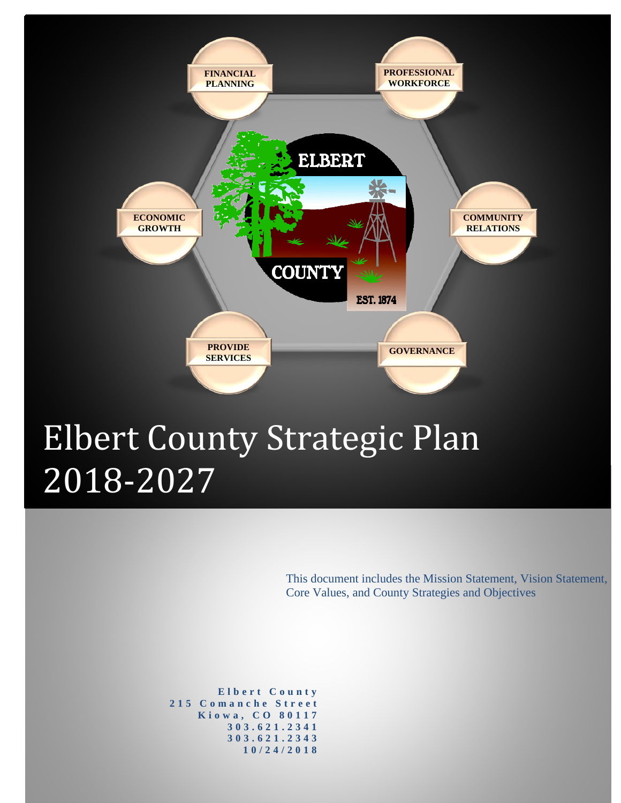

# Elbert County Strategic Plan 2018-2027

This document includes the Mission Statement, Vision Statement, Core Values, and County Strategies and Objectives

**Elbert County 215 Comanche Street Kiowa, CO 80117 303.621.2341 303.621.2343 10/24/2018**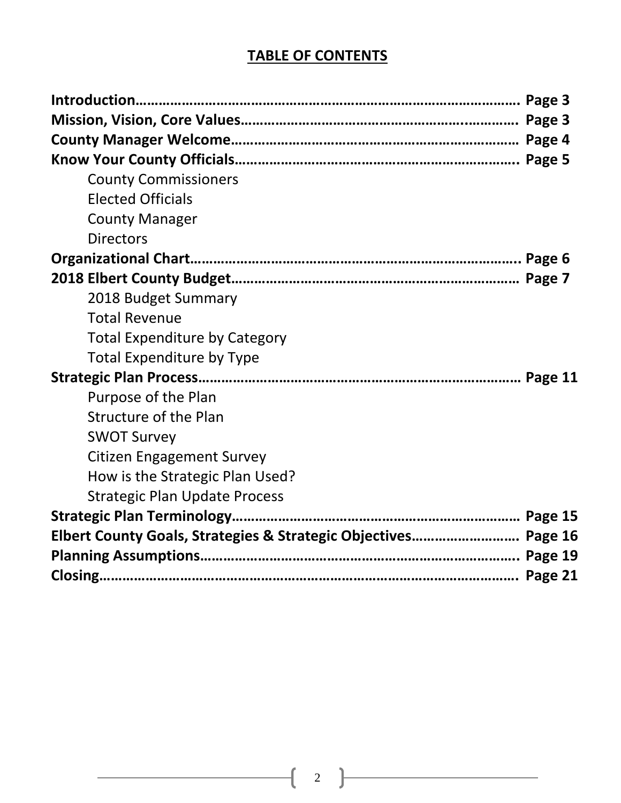## **TABLE OF CONTENTS**

| <b>County Commissioners</b>                                    |  |
|----------------------------------------------------------------|--|
| <b>Elected Officials</b>                                       |  |
| <b>County Manager</b>                                          |  |
| <b>Directors</b>                                               |  |
|                                                                |  |
|                                                                |  |
| 2018 Budget Summary                                            |  |
| <b>Total Revenue</b>                                           |  |
| <b>Total Expenditure by Category</b>                           |  |
| <b>Total Expenditure by Type</b>                               |  |
|                                                                |  |
| Purpose of the Plan                                            |  |
| Structure of the Plan                                          |  |
| <b>SWOT Survey</b>                                             |  |
| <b>Citizen Engagement Survey</b>                               |  |
| How is the Strategic Plan Used?                                |  |
| <b>Strategic Plan Update Process</b>                           |  |
|                                                                |  |
| Elbert County Goals, Strategies & Strategic Objectives Page 16 |  |
|                                                                |  |
|                                                                |  |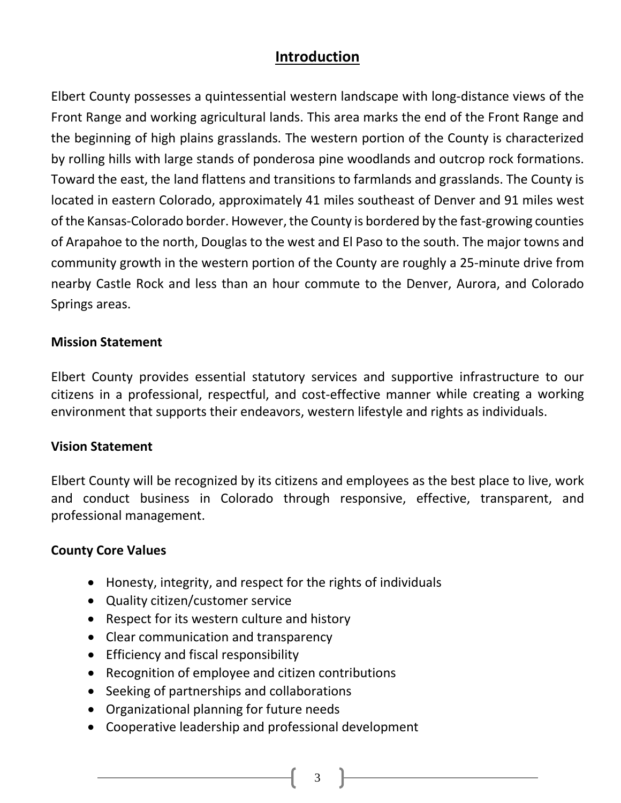#### **Introduction**

Elbert County possesses a quintessential western landscape with long-distance views of the Front Range and working agricultural lands. This area marks the end of the Front Range and the beginning of high plains grasslands. The western portion of the County is characterized by rolling hills with large stands of ponderosa pine woodlands and outcrop rock formations. Toward the east, the land flattens and transitions to farmlands and grasslands. The County is located in eastern Colorado, approximately 41 miles southeast of Denver and 91 miles west of the Kansas-Colorado border. However, the County is bordered by the fast-growing counties of Arapahoe to the north, Douglas to the west and El Paso to the south. The major towns and community growth in the western portion of the County are roughly a 25-minute drive from nearby Castle Rock and less than an hour commute to the Denver, Aurora, and Colorado Springs areas.

#### **Mission Statement**

Elbert County provides essential statutory services and supportive infrastructure to our citizens in a professional, respectful, and cost-effective manner while creating a working environment that supports their endeavors, western lifestyle and rights as individuals.

#### **Vision Statement**

Elbert County will be recognized by its citizens and employees as the best place to live, work and conduct business in Colorado through responsive, effective, transparent, and professional management.

#### **County Core Values**

- Honesty, integrity, and respect for the rights of individuals
- Quality citizen/customer service
- Respect for its western culture and history
- Clear communication and transparency
- Efficiency and fiscal responsibility
- Recognition of employee and citizen contributions
- Seeking of partnerships and collaborations
- Organizational planning for future needs
- Cooperative leadership and professional development

3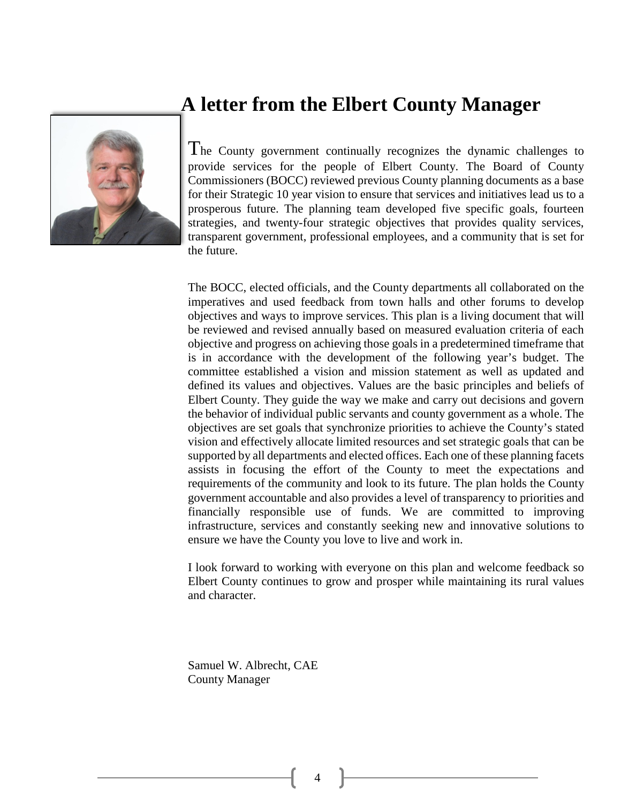

## **A letter from the Elbert County Manager**

The County government continually recognizes the dynamic challenges to provide services for the people of Elbert County. The Board of County Commissioners (BOCC) reviewed previous County planning documents as a base for their Strategic 10 year vision to ensure that services and initiatives lead us to a prosperous future. The planning team developed five specific goals, fourteen strategies, and twenty-four strategic objectives that provides quality services, transparent government, professional employees, and a community that is set for the future.

The BOCC, elected officials, and the County departments all collaborated on the imperatives and used feedback from town halls and other forums to develop objectives and ways to improve services. This plan is a living document that will be reviewed and revised annually based on measured evaluation criteria of each objective and progress on achieving those goals in a predetermined timeframe that is in accordance with the development of the following year's budget. The committee established a vision and mission statement as well as updated and defined its values and objectives. Values are the basic principles and beliefs of Elbert County. They guide the way we make and carry out decisions and govern the behavior of individual public servants and county government as a whole. The objectives are set goals that synchronize priorities to achieve the County's stated vision and effectively allocate limited resources and set strategic goals that can be supported by all departments and elected offices. Each one of these planning facets assists in focusing the effort of the County to meet the expectations and requirements of the community and look to its future. The plan holds the County government accountable and also provides a level of transparency to priorities and financially responsible use of funds. We are committed to improving infrastructure, services and constantly seeking new and innovative solutions to ensure we have the County you love to live and work in.

I look forward to working with everyone on this plan and welcome feedback so Elbert County continues to grow and prosper while maintaining its rural values and character.

Samuel W. Albrecht, CAE County Manager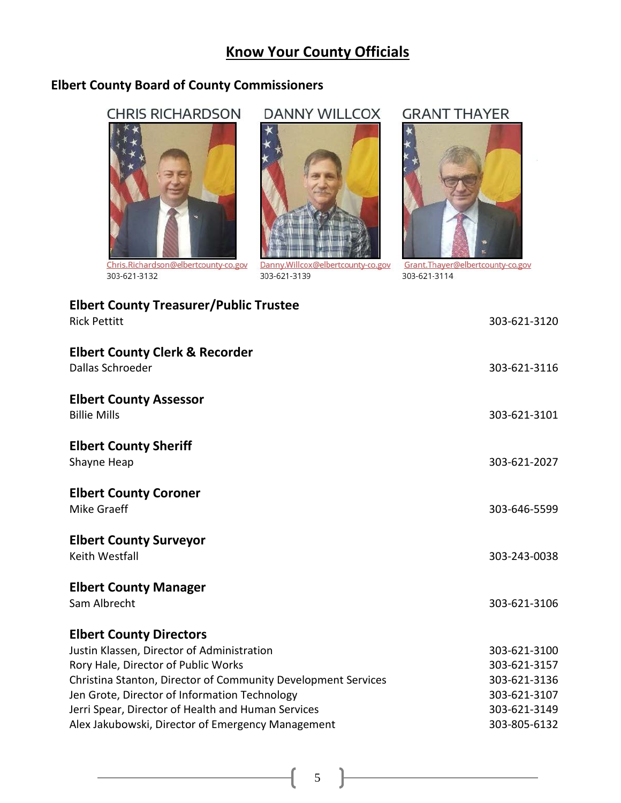## **Know Your County Officials**

#### **Elbert County Board of County Commissioners**



## **DANNY WILLCOX**



#### Danny.Willcox@elbertcounty-co.gov 303-621-3139

#### **GRANT THAYER**



 $\bar{z}$ 

Grant.Thayer@elbertcounty-co.gov 303-621-3114

| <b>Elbert County Treasurer/Public Trustee</b><br><b>Rick Pettitt</b>                                                                                                                                                                                                                                                                             | 303-621-3120                                                                                 |
|--------------------------------------------------------------------------------------------------------------------------------------------------------------------------------------------------------------------------------------------------------------------------------------------------------------------------------------------------|----------------------------------------------------------------------------------------------|
| <b>Elbert County Clerk &amp; Recorder</b><br>Dallas Schroeder                                                                                                                                                                                                                                                                                    | 303-621-3116                                                                                 |
| <b>Elbert County Assessor</b><br><b>Billie Mills</b>                                                                                                                                                                                                                                                                                             | 303-621-3101                                                                                 |
| <b>Elbert County Sheriff</b><br>Shayne Heap                                                                                                                                                                                                                                                                                                      | 303-621-2027                                                                                 |
| <b>Elbert County Coroner</b><br>Mike Graeff                                                                                                                                                                                                                                                                                                      | 303-646-5599                                                                                 |
| <b>Elbert County Surveyor</b><br>Keith Westfall                                                                                                                                                                                                                                                                                                  | 303-243-0038                                                                                 |
| <b>Elbert County Manager</b><br>Sam Albrecht                                                                                                                                                                                                                                                                                                     | 303-621-3106                                                                                 |
| <b>Elbert County Directors</b><br>Justin Klassen, Director of Administration<br>Rory Hale, Director of Public Works<br>Christina Stanton, Director of Community Development Services<br>Jen Grote, Director of Information Technology<br>Jerri Spear, Director of Health and Human Services<br>Alex Jakubowski, Director of Emergency Management | 303-621-3100<br>303-621-3157<br>303-621-3136<br>303-621-3107<br>303-621-3149<br>303-805-6132 |

5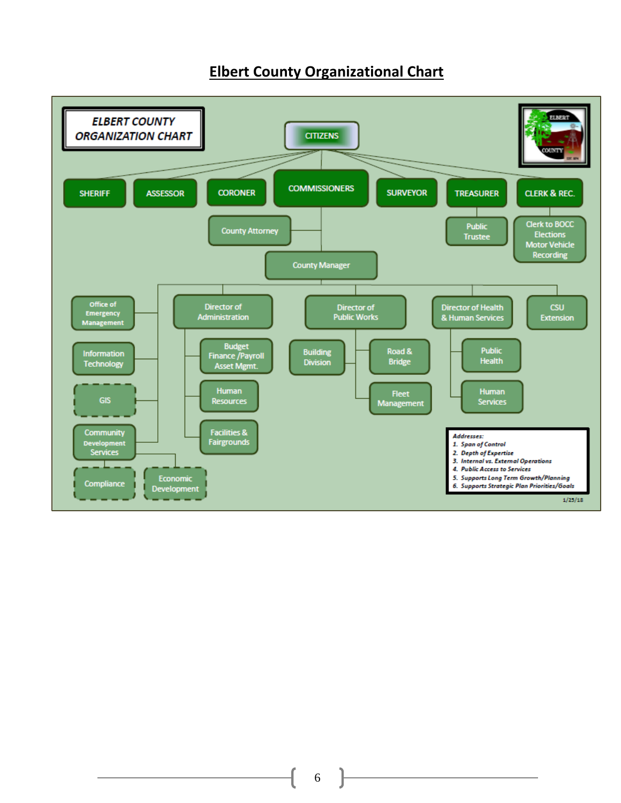

## **Elbert County Organizational Chart**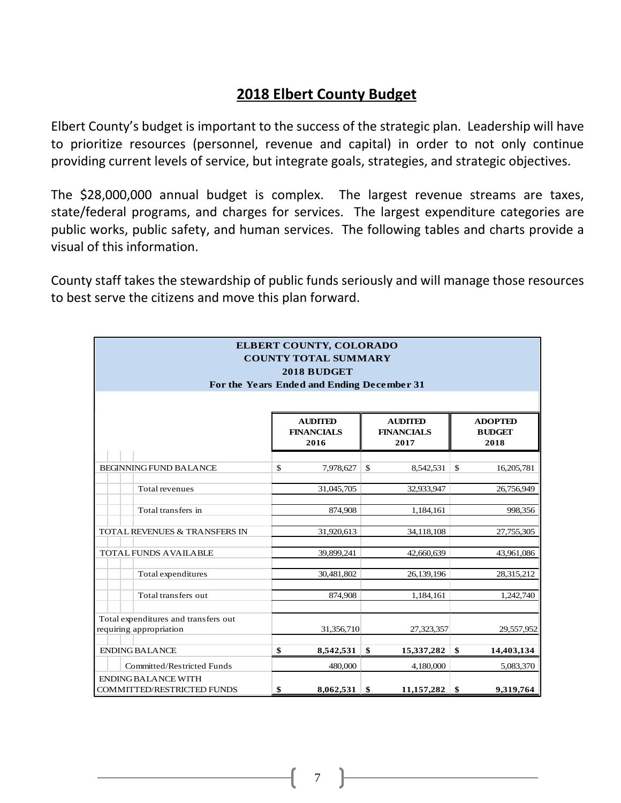## **2018 Elbert County Budget**

Elbert County's budget is important to the success of the strategic plan. Leadership will have to prioritize resources (personnel, revenue and capital) in order to not only continue providing current levels of service, but integrate goals, strategies, and strategic objectives.

The \$28,000,000 annual budget is complex. The largest revenue streams are taxes, state/federal programs, and charges for services. The largest expenditure categories are public works, public safety, and human services. The following tables and charts provide a visual of this information.

County staff takes the stewardship of public funds seriously and will manage those resources to best serve the citizens and move this plan forward.

| <b>ELBERT COUNTY, COLORADO</b><br><b>COUNTY TOTAL SUMMARY</b><br>2018 BUDGET<br>For the Years Ended and Ending December 31 |    |                                             |    |                                             |     |                                         |  |  |  |
|----------------------------------------------------------------------------------------------------------------------------|----|---------------------------------------------|----|---------------------------------------------|-----|-----------------------------------------|--|--|--|
|                                                                                                                            |    | <b>AUDITED</b><br><b>FINANCIALS</b><br>2016 |    | <b>AUDITED</b><br><b>FINANCIALS</b><br>2017 |     | <b>ADOPTED</b><br><b>BUDGET</b><br>2018 |  |  |  |
| BEGINNING FUND BALANCE                                                                                                     | \$ | 7,978,627                                   | \$ | 8,542,531                                   | \$  | 16,205,781                              |  |  |  |
| Total revenues                                                                                                             |    | 31,045,705                                  |    | 32,933,947                                  |     | 26,756,949                              |  |  |  |
| Total transfers in                                                                                                         |    | 874,908                                     |    | 1,184,161                                   |     | 998,356                                 |  |  |  |
| TOTAL REVENUES & TRANSFERS IN                                                                                              |    | 31,920,613                                  |    | 34,118,108                                  |     | 27,755,305                              |  |  |  |
| <b>TOTAL FUNDS AVAILABLE</b>                                                                                               |    | 39,899,241                                  |    | 42,660,639                                  |     | 43,961,086                              |  |  |  |
| Total expenditures                                                                                                         |    | 30,481,802                                  |    | 26,139,196                                  |     | 28,315,212                              |  |  |  |
| Total transfers out                                                                                                        |    | 874,908                                     |    | 1,184,161                                   |     | 1,242,740                               |  |  |  |
| Total expenditures and transfers out<br>requiring appropriation                                                            |    | 31,356,710                                  |    | 27,323,357                                  |     | 29,557,952                              |  |  |  |
| <b>ENDING BALANCE</b>                                                                                                      | \$ | 8,542,531                                   | \$ | 15,337,282                                  | \$  | 14,403,134                              |  |  |  |
| Committed/Restricted Funds                                                                                                 |    | 480,000                                     |    | 4,180,000                                   |     | 5,083,370                               |  |  |  |
| ENDING BALANCE WITH<br><b>COMMITTED/RESTRICTED FUNDS</b>                                                                   | \$ | $8,062,531$ \$                              |    | 11,157,282                                  | ∣\$ | 9,319,764                               |  |  |  |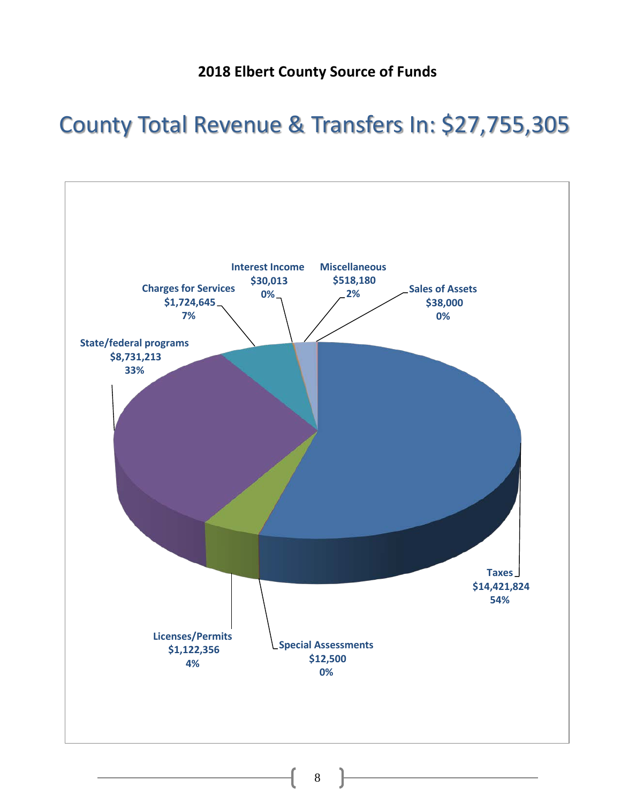## County Total Revenue & Transfers In: \$27,755,305

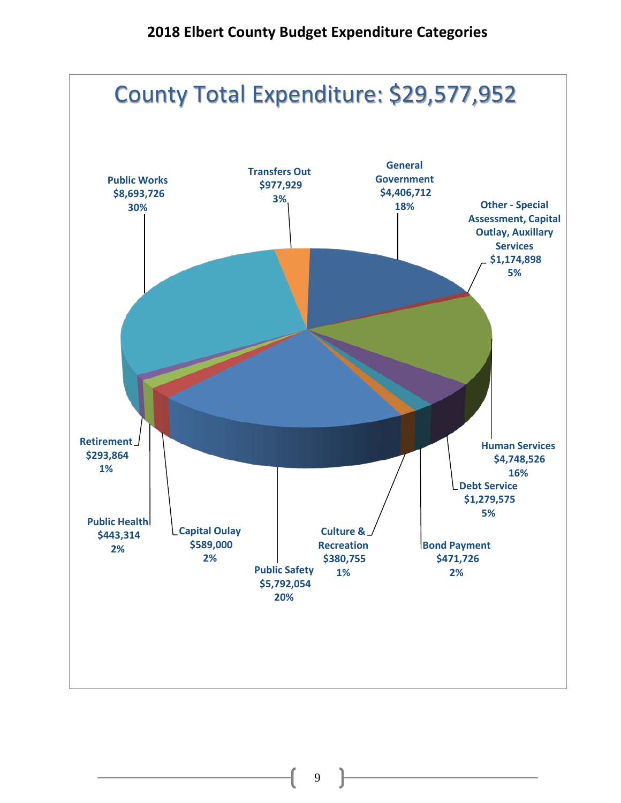#### **2018 Elbert County Budget Expenditure Categories**

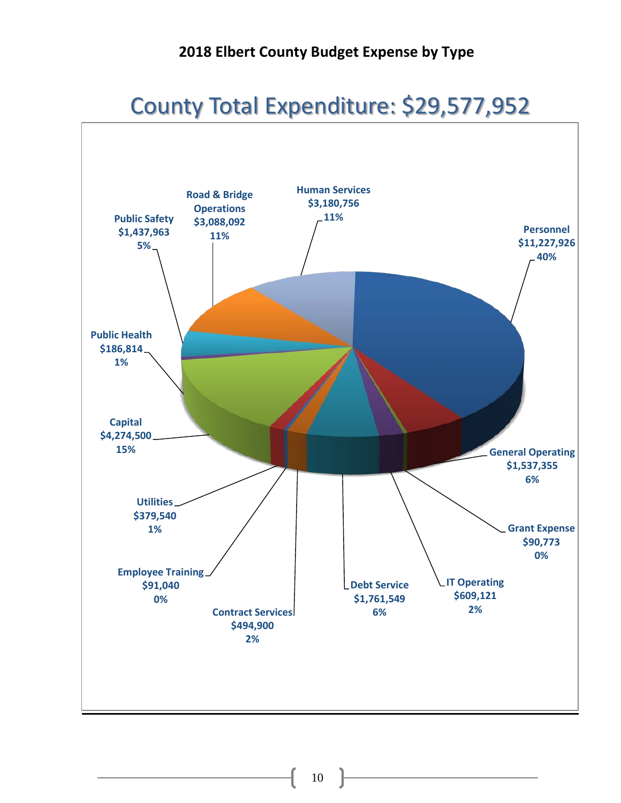#### County Total Expenditure: \$29,577,952 **Personnel \$11,227,926 40% General Operating \$1,537,355 6% Grant Expense \$90,773 0% IT Operating \$609,121 2% Debt Service \$1,761,549 Contract Services 6% \$494,900 2% Employee Training \$91,040 0% Utilities \$379,540 1% Capital \$4,274,500 15% Public Health \$186,814 1% Public Safety \$1,437,963 5% Road & Bridge Operations \$3,088,092 11% Human Services \$3,180,756 11%**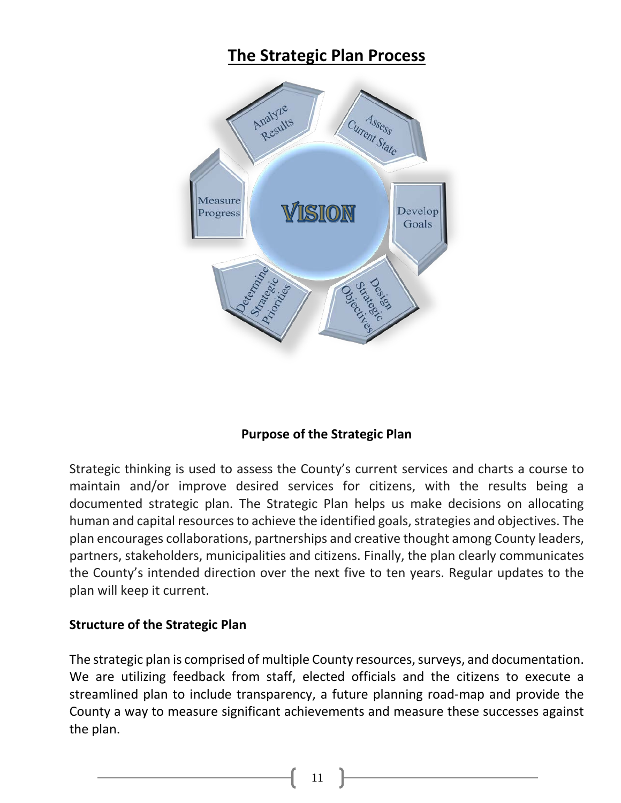## **The Strategic Plan Process**



#### **Purpose of the Strategic Plan**

Strategic thinking is used to assess the County's current services and charts a course to maintain and/or improve desired services for citizens, with the results being a documented strategic plan. The Strategic Plan helps us make decisions on allocating human and capital resources to achieve the identified goals, strategies and objectives. The plan encourages collaborations, partnerships and creative thought among County leaders, partners, stakeholders, municipalities and citizens. Finally, the plan clearly communicates the County's intended direction over the next five to ten years. Regular updates to the plan will keep it current.

#### **Structure of the Strategic Plan**

The strategic plan is comprised of multiple County resources, surveys, and documentation. We are utilizing feedback from staff, elected officials and the citizens to execute a streamlined plan to include transparency, a future planning road-map and provide the County a way to measure significant achievements and measure these successes against the plan.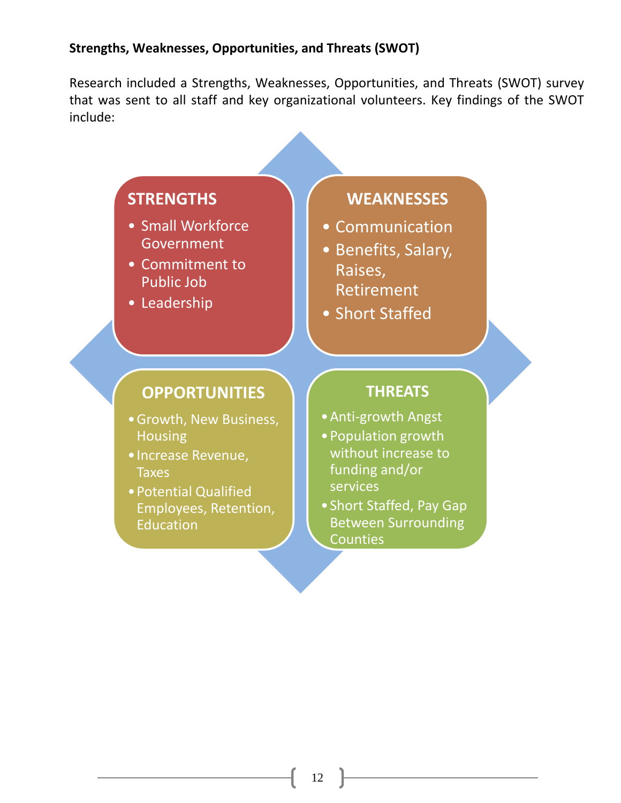#### **Strengths, Weaknesses, Opportunities, and Threats (SWOT)**

Research included a Strengths, Weaknesses, Opportunities, and Threats (SWOT) survey that was sent to all staff and key organizational volunteers. Key findings of the SWOT include:

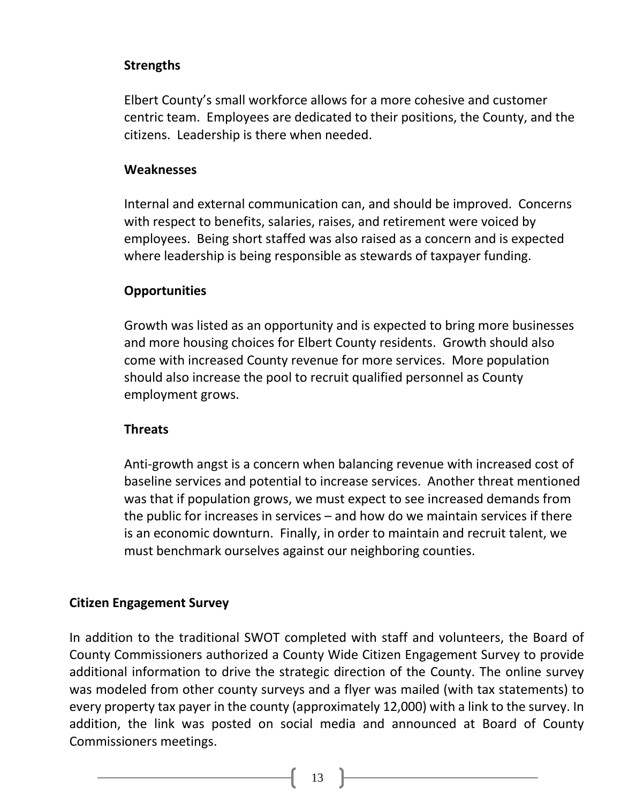#### **Strengths**

Elbert County's small workforce allows for a more cohesive and customer centric team. Employees are dedicated to their positions, the County, and the citizens. Leadership is there when needed.

#### **Weaknesses**

Internal and external communication can, and should be improved. Concerns with respect to benefits, salaries, raises, and retirement were voiced by employees. Being short staffed was also raised as a concern and is expected where leadership is being responsible as stewards of taxpayer funding.

#### **Opportunities**

Growth was listed as an opportunity and is expected to bring more businesses and more housing choices for Elbert County residents. Growth should also come with increased County revenue for more services. More population should also increase the pool to recruit qualified personnel as County employment grows.

#### **Threats**

Anti-growth angst is a concern when balancing revenue with increased cost of baseline services and potential to increase services. Another threat mentioned was that if population grows, we must expect to see increased demands from the public for increases in services – and how do we maintain services if there is an economic downturn. Finally, in order to maintain and recruit talent, we must benchmark ourselves against our neighboring counties.

#### **Citizen Engagement Survey**

In addition to the traditional SWOT completed with staff and volunteers, the Board of County Commissioners authorized a County Wide Citizen Engagement Survey to provide additional information to drive the strategic direction of the County. The online survey was modeled from other county surveys and a flyer was mailed (with tax statements) to every property tax payer in the county (approximately 12,000) with a link to the survey. In addition, the link was posted on social media and announced at Board of County Commissioners meetings.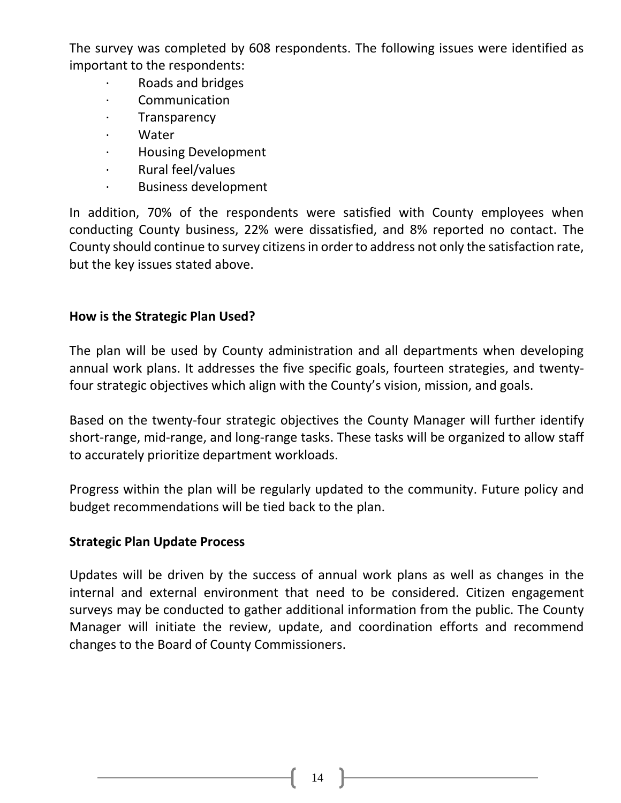The survey was completed by 608 respondents. The following issues were identified as important to the respondents:

- · Roads and bridges
- **Communication**
- · Transparency
- · Water
- · Housing Development
- · Rural feel/values
- Business development

In addition, 70% of the respondents were satisfied with County employees when conducting County business, 22% were dissatisfied, and 8% reported no contact. The County should continue to survey citizens in order to address not only the satisfaction rate, but the key issues stated above.

#### **How is the Strategic Plan Used?**

The plan will be used by County administration and all departments when developing annual work plans. It addresses the five specific goals, fourteen strategies, and twentyfour strategic objectives which align with the County's vision, mission, and goals.

Based on the twenty-four strategic objectives the County Manager will further identify short-range, mid-range, and long-range tasks. These tasks will be organized to allow staff to accurately prioritize department workloads.

Progress within the plan will be regularly updated to the community. Future policy and budget recommendations will be tied back to the plan.

#### **Strategic Plan Update Process**

Updates will be driven by the success of annual work plans as well as changes in the internal and external environment that need to be considered. Citizen engagement surveys may be conducted to gather additional information from the public. The County Manager will initiate the review, update, and coordination efforts and recommend changes to the Board of County Commissioners.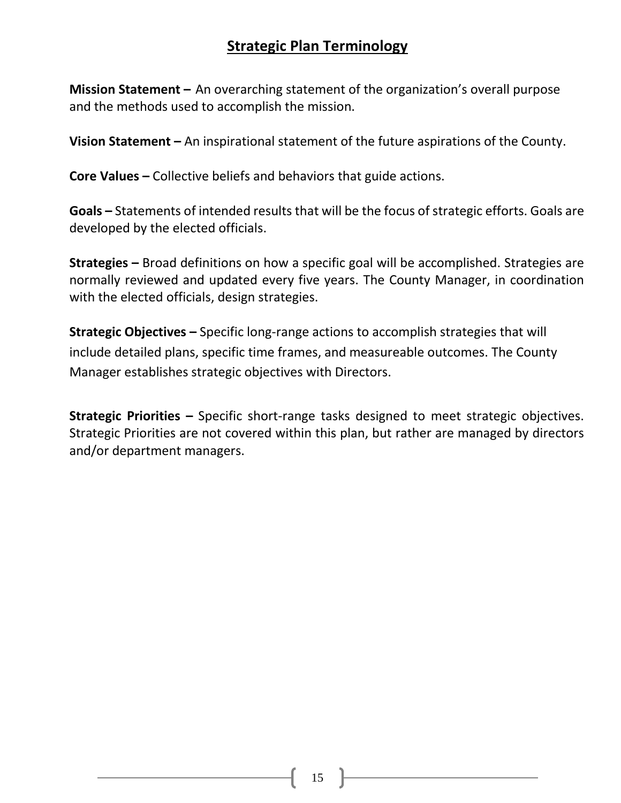## **Strategic Plan Terminology**

**Mission Statement –** An overarching statement of the organization's overall purpose and the methods used to accomplish the mission.

**Vision Statement –** An inspirational statement of the future aspirations of the County.

**Core Values –** Collective beliefs and behaviors that guide actions.

**Goals –** Statements of intended results that will be the focus of strategic efforts. Goals are developed by the elected officials.

**Strategies –** Broad definitions on how a specific goal will be accomplished. Strategies are normally reviewed and updated every five years. The County Manager, in coordination with the elected officials, design strategies.

**Strategic Objectives –** Specific long-range actions to accomplish strategies that will include detailed plans, specific time frames, and measureable outcomes. The County Manager establishes strategic objectives with Directors.

**Strategic Priorities –** Specific short-range tasks designed to meet strategic objectives. Strategic Priorities are not covered within this plan, but rather are managed by directors and/or department managers.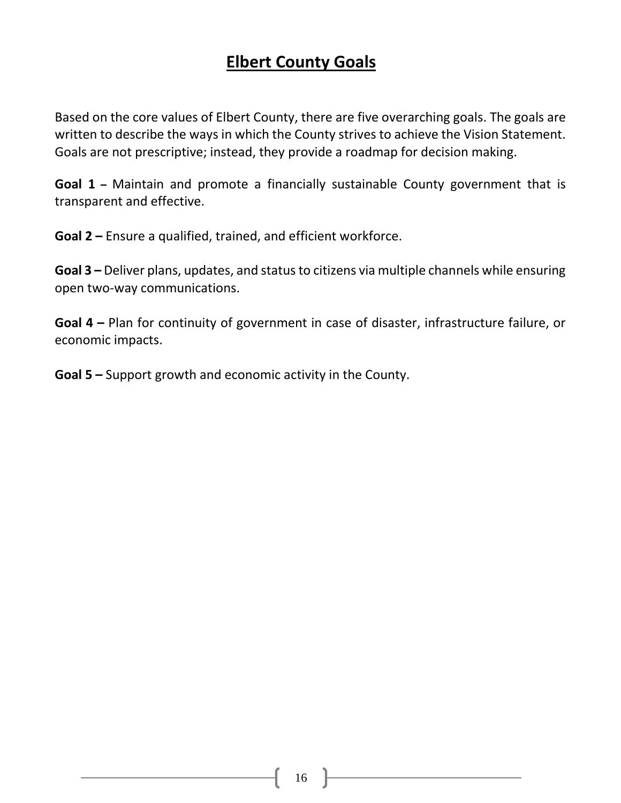## **Elbert County Goals**

Based on the core values of Elbert County, there are five overarching goals. The goals are written to describe the ways in which the County strives to achieve the Vision Statement. Goals are not prescriptive; instead, they provide a roadmap for decision making.

**Goal 1 –** Maintain and promote a financially sustainable County government that is transparent and effective.

**Goal 2 –** Ensure a qualified, trained, and efficient workforce.

**Goal 3 –** Deliver plans, updates, and status to citizens via multiple channels while ensuring open two-way communications.

**Goal 4 –** Plan for continuity of government in case of disaster, infrastructure failure, or economic impacts.

**Goal 5 –** Support growth and economic activity in the County.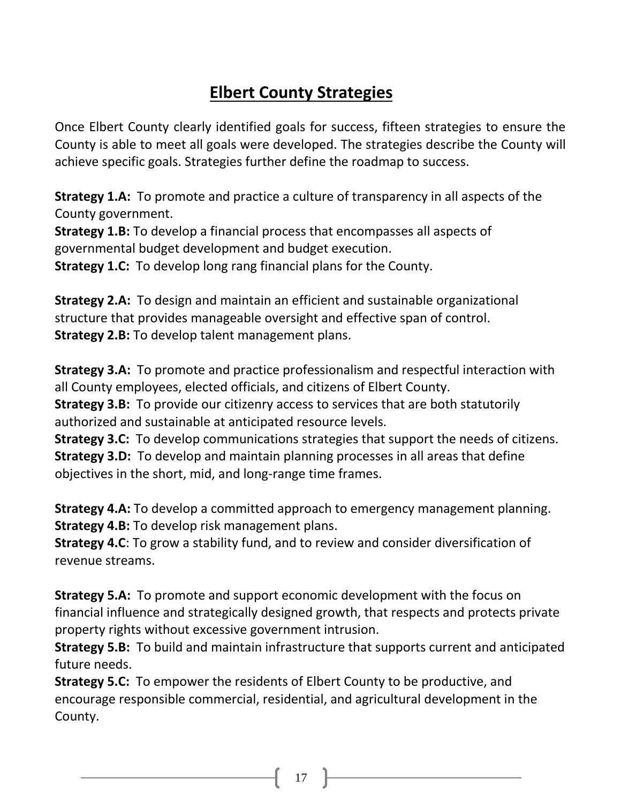## **Elbert County Strategies**

Once Elbert County clearly identified goals for success, fifteen strategies to ensure the County is able to meet all goals were developed. The strategies describe the County will achieve specific goals. Strategies further define the roadmap to success.

**Strategy 1.A:** To promote and practice a culture of transparency in all aspects of the County government.

**Strategy 1.B:** To develop a financial process that encompasses all aspects of governmental budget development and budget execution.

**Strategy 1.C:** To develop long rang financial plans for the County.

**Strategy 2.A:** To design and maintain an efficient and sustainable organizational structure that provides manageable oversight and effective span of control. **Strategy 2.B:** To develop talent management plans.

**Strategy 3.A:** To promote and practice professionalism and respectful interaction with all County employees, elected officials, and citizens of Elbert County.

**Strategy 3.B:** To provide our citizenry access to services that are both statutorily authorized and sustainable at anticipated resource levels.

**Strategy 3.C:** To develop communications strategies that support the needs of citizens. **Strategy 3.D:** To develop and maintain planning processes in all areas that define objectives in the short, mid, and long-range time frames.

**Strategy 4.A:** To develop a committed approach to emergency management planning. **Strategy 4.B:** To develop risk management plans.

**Strategy 4.C**: To grow a stability fund, and to review and consider diversification of revenue streams.

**Strategy 5.A:** To promote and support economic development with the focus on financial influence and strategically designed growth, that respects and protects private property rights without excessive government intrusion.

**Strategy 5.B:** To build and maintain infrastructure that supports current and anticipated future needs.

**Strategy 5.C:** To empower the residents of Elbert County to be productive, and encourage responsible commercial, residential, and agricultural development in the County.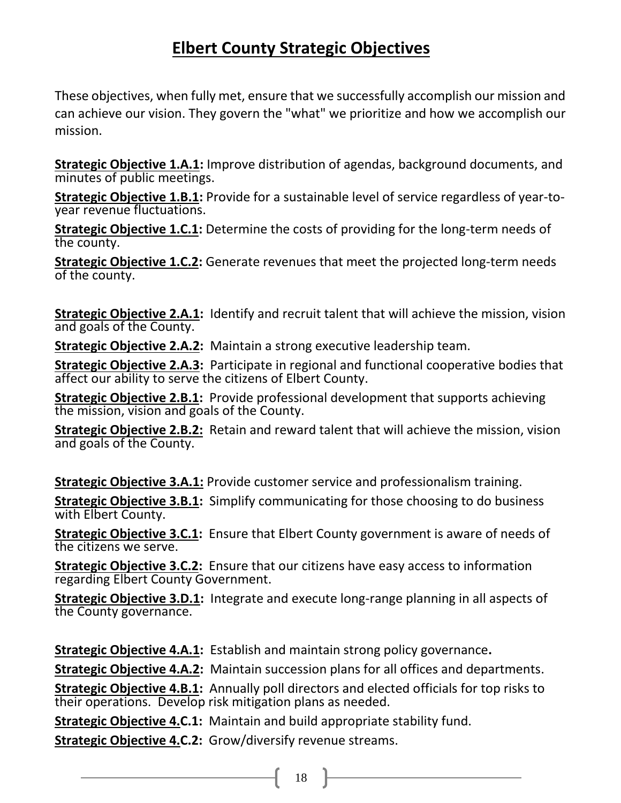## **Elbert County Strategic Objectives**

These objectives, when fully met, ensure that we successfully accomplish our mission and can achieve our vision. They govern the "what" we prioritize and how we accomplish our mission.

**Strategic Objective 1.A.1:** Improve distribution of agendas, background documents, and minutes of public meetings.

**Strategic Objective 1.B.1:** Provide for a sustainable level of service regardless of year-to-<br>year revenue fluctuations.

**Strategic Objective 1.C.1:** Determine the costs of providing for the long-term needs of the county.

**Strategic Objective 1.C.2:** Generate revenues that meet the projected long-term needs of the county.

**Strategic Objective 2.A.1:** Identify and recruit talent that will achieve the mission, vision and goals of the County.

**Strategic Objective 2.A.2:** Maintain a strong executive leadership team.

**Strategic Objective 2.A.3:** Participate in regional and functional cooperative bodies that affect our ability to serve the citizens of Elbert County.

**Strategic Objective 2.B.1:** Provide professional development that supports achieving the mission, vision and goals of the County.

**Strategic Objective 2.B.2:** Retain and reward talent that will achieve the mission, vision and goals of the County.

**Strategic Objective 3.A.1:** Provide customer service and professionalism training.

**Strategic Objective 3.B.1:** Simplify communicating for those choosing to do business with Elbert County.

**Strategic Objective 3.C.1:** Ensure that Elbert County government is aware of needs of the citizens we serve.

**Strategic Objective 3.C.2:** Ensure that our citizens have easy access to information regarding Elbert County Government.

**Strategic Objective 3.D.1:** Integrate and execute long-range planning in all aspects of the County governance.

**Strategic Objective 4.A.1:** Establish and maintain strong policy governance**.**

**Strategic Objective 4.A.2:** Maintain succession plans for all offices and departments.

**Strategic Objective 4.B.1:** Annually poll directors and elected officials for top risks to their operations. Develop risk mitigation plans as needed.

**Strategic Objective 4.C.1:** Maintain and build appropriate stability fund.

**Strategic Objective 4.C.2:** Grow/diversify revenue streams.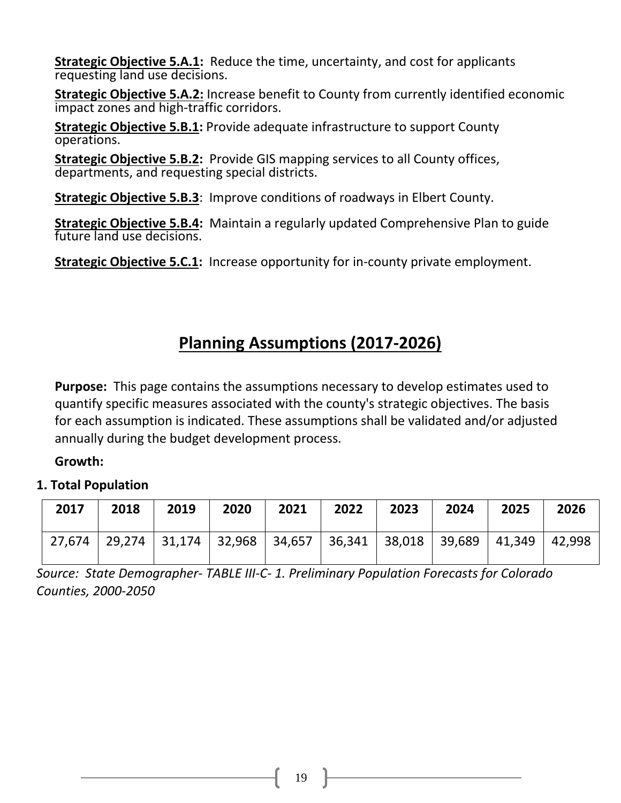**Strategic Objective 5.A.1:** Reduce the time, uncertainty, and cost for applicants requesting land use decisions.

**Strategic Objective 5.A.2:** Increase benefit to County from currently identified economic impact zones and high-traffic corridors.

**Strategic Objective 5.B.1:** Provide adequate infrastructure to support County operations.

**Strategic Objective 5.B.2:** Provide GIS mapping services to all County offices, departments, and requesting special districts.

**Strategic Objective 5.B.3**: Improve conditions of roadways in Elbert County.

**Strategic Objective 5.B.4:** Maintain a regularly updated Comprehensive Plan to guide future land use decisions.

**Strategic Objective 5.C.1:** Increase opportunity for in-county private employment.

## **Planning Assumptions (2017-2026)**

**Purpose:** This page contains the assumptions necessary to develop estimates used to quantify specific measures associated with the county's strategic objectives. The basis for each assumption is indicated. These assumptions shall be validated and/or adjusted annually during the budget development process.

#### **Growth:**

#### **1. Total Population**

| 2017 | 2018 | 2019                                                                                    | 2020 | 2021 | 2022 | 2023 | 2024 | 2025 | 2026 |
|------|------|-----------------------------------------------------------------------------------------|------|------|------|------|------|------|------|
|      |      | 27,674   29,274   31,174   32,968   34,657   36,341   38,018   39,689   41,349   42,998 |      |      |      |      |      |      |      |

*Source: State Demographer- TABLE III-C- 1. Preliminary Population Forecasts for Colorado Counties, 2000-2050*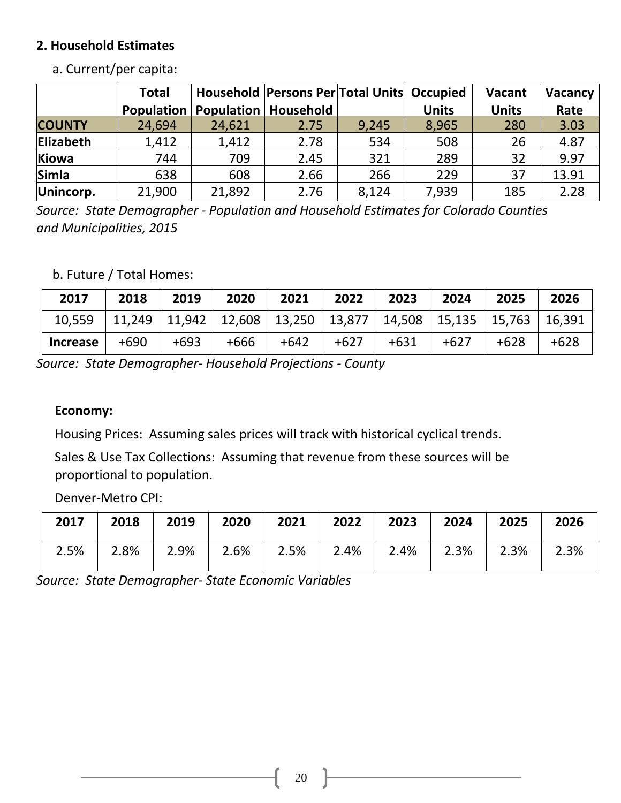#### **2. Household Estimates**

|                  | <b>Total</b> |                                            | Household Persons Per Total Units Occupied |       |              | <b>Vacant</b> | Vacancy |
|------------------|--------------|--------------------------------------------|--------------------------------------------|-------|--------------|---------------|---------|
|                  |              | <b>Population   Population   Household</b> |                                            |       | <b>Units</b> | <b>Units</b>  | Rate    |
| <b>COUNTY</b>    | 24,694       | 24,621                                     | 2.75                                       | 9,245 | 8,965        | 280           | 3.03    |
| <b>Elizabeth</b> | 1,412        | 1,412                                      | 2.78                                       | 534   | 508          | 26            | 4.87    |
| <b>Kiowa</b>     | 744          | 709                                        | 2.45                                       | 321   | 289          | 32            | 9.97    |
| <b>Simla</b>     | 638          | 608                                        | 2.66                                       | 266   | 229          | 37            | 13.91   |
| Unincorp.        | 21,900       | 21,892                                     | 2.76                                       | 8,124 | 7,939        | 185           | 2.28    |

a. Current/per capita:

*Source: State Demographer - Population and Household Estimates for Colorado Counties and Municipalities, 2015*

b. Future / Total Homes:

| 2017            | 2018                                                                           | 2019   | 2020   | 2021   | 2022   | 2023   | 2024   | 2025   | 2026   |
|-----------------|--------------------------------------------------------------------------------|--------|--------|--------|--------|--------|--------|--------|--------|
| 10,559          | 11,249   11,942   12,608   13,250   13,877   14,508   15,135   15,763   16,391 |        |        |        |        |        |        |        |        |
| <b>Increase</b> | +690                                                                           | $+693$ | $+666$ | $+642$ | $+627$ | $+631$ | $+627$ | $+628$ | $+628$ |

*Source: State Demographer- Household Projections - County*

#### **Economy:**

Housing Prices: Assuming sales prices will track with historical cyclical trends.

Sales & Use Tax Collections: Assuming that revenue from these sources will be proportional to population.

Denver-Metro CPI:

| 2017 | 2018 | 2019 | 2020 | 2021 | 2022    | 2023 | 2024 | 2025         | 2026 |
|------|------|------|------|------|---------|------|------|--------------|------|
| 2.5% | 2.8% | 2.9% | 2.6% | 2.5% | $2.4\%$ | 2.4% | 2.3% | $\vert$ 2.3% | 2.3% |

*Source: State Demographer- State Economic Variables*